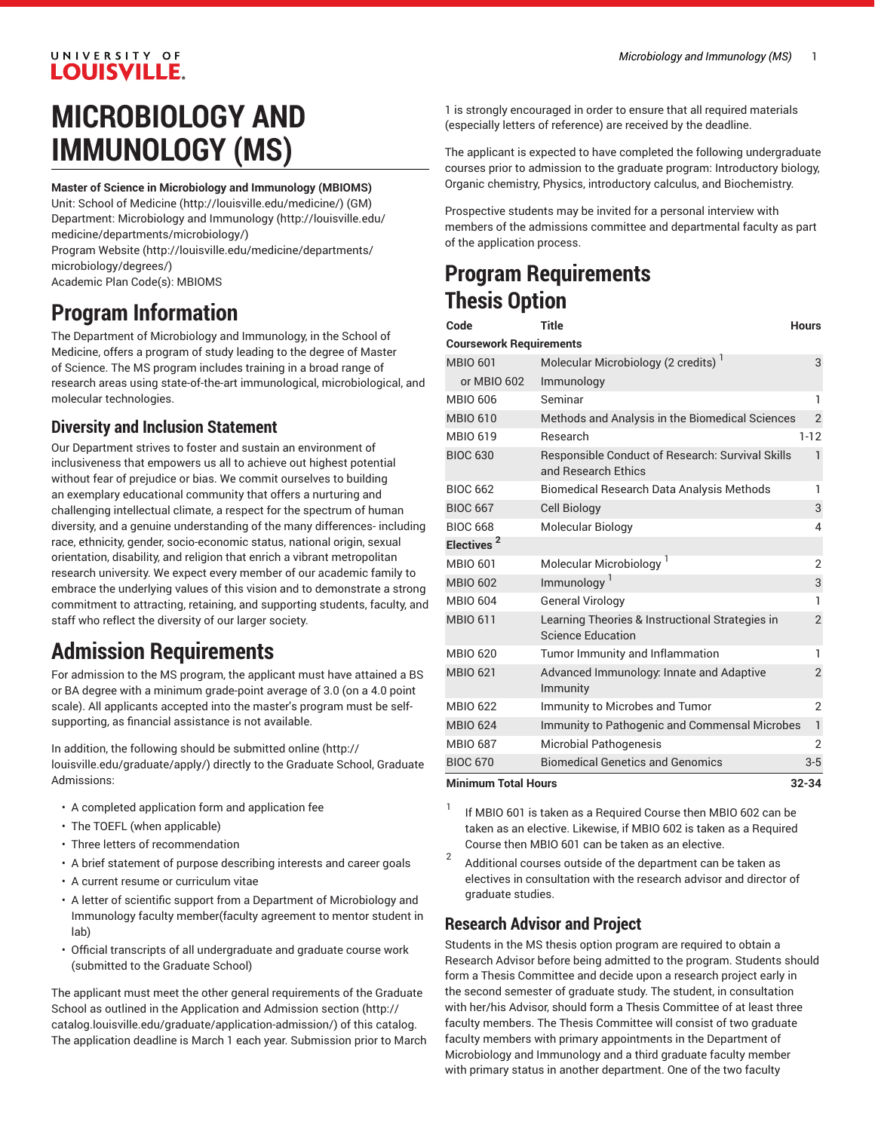### UNIVERSITY OF LOUISVILLE.

# **MICROBIOLOGY AND IMMUNOLOGY (MS)**

**Master of Science in Microbiology and Immunology (MBIOMS)**

Unit: [School of Medicine \(http://louisville.edu/medicine/\)](http://louisville.edu/medicine/) (GM) Department: [Microbiology](http://louisville.edu/medicine/departments/microbiology/) and Immunology [\(http://louisville.edu/](http://louisville.edu/medicine/departments/microbiology/) [medicine/departments/microbiology/](http://louisville.edu/medicine/departments/microbiology/))

[Program](http://louisville.edu/medicine/departments/microbiology/degrees/) Website [\(http://louisville.edu/medicine/departments/](http://louisville.edu/medicine/departments/microbiology/degrees/) [microbiology/degrees/\)](http://louisville.edu/medicine/departments/microbiology/degrees/)

Academic Plan Code(s): MBIOMS

# **Program Information**

The Department of Microbiology and Immunology, in the School of Medicine, offers a program of study leading to the degree of Master of Science. The MS program includes training in a broad range of research areas using state-of-the-art immunological, microbiological, and molecular technologies.

#### **Diversity and Inclusion Statement**

Our Department strives to foster and sustain an environment of inclusiveness that empowers us all to achieve out highest potential without fear of prejudice or bias. We commit ourselves to building an exemplary educational community that offers a nurturing and challenging intellectual climate, a respect for the spectrum of human diversity, and a genuine understanding of the many differences- including race, ethnicity, gender, socio-economic status, national origin, sexual orientation, disability, and religion that enrich a vibrant metropolitan research university. We expect every member of our academic family to embrace the underlying values of this vision and to demonstrate a strong commitment to attracting, retaining, and supporting students, faculty, and staff who reflect the diversity of our larger society.

# **Admission Requirements**

For admission to the MS program, the applicant must have attained a BS or BA degree with a minimum grade-point average of 3.0 (on a 4.0 point scale). All applicants accepted into the master's program must be selfsupporting, as financial assistance is not available.

In addition, the following should be [submitted online \(http://](http://louisville.edu/graduate/apply/) [louisville.edu/graduate/apply/\)](http://louisville.edu/graduate/apply/) directly to the Graduate School, Graduate Admissions:

- A completed application form and application fee
- The TOEFL (when applicable)
- Three letters of recommendation
- A brief statement of purpose describing interests and career goals
- A current resume or curriculum vitae
- A letter of scientific support from a Department of Microbiology and Immunology faculty member(faculty agreement to mentor student in lab)
- Official transcripts of all undergraduate and graduate course work (submitted to the Graduate School)

The applicant must meet the other general requirements of the Graduate School as outlined in the [Application and Admission section](http://catalog.louisville.edu/graduate/application-admission/) [\(http://](http://catalog.louisville.edu/graduate/application-admission/) [catalog.louisville.edu/graduate/application-admission/\)](http://catalog.louisville.edu/graduate/application-admission/) of this catalog. The application deadline is March 1 each year. Submission prior to March

1 is strongly encouraged in order to ensure that all required materials (especially letters of reference) are received by the deadline.

The applicant is expected to have completed the following undergraduate courses prior to admission to the graduate program: Introductory biology, Organic chemistry, Physics, introductory calculus, and Biochemistry.

Prospective students may be invited for a personal interview with members of the admissions committee and departmental faculty as part of the application process.

## **Program Requirements Thesis Option**

| Code                                    | <b>Title</b>                                                                | <b>Hours</b>   |  |  |
|-----------------------------------------|-----------------------------------------------------------------------------|----------------|--|--|
| <b>Coursework Requirements</b>          |                                                                             |                |  |  |
| <b>MBIO 601</b>                         | Molecular Microbiology (2 credits) <sup>1</sup>                             | 3              |  |  |
| or MBIO 602                             | Immunology                                                                  |                |  |  |
| <b>MBIO 606</b>                         | Seminar                                                                     | ı              |  |  |
| <b>MBIO 610</b>                         | Methods and Analysis in the Biomedical Sciences                             | $\overline{2}$ |  |  |
| <b>MBIO 619</b>                         | Research                                                                    | $1 - 12$       |  |  |
| <b>BIOC 630</b>                         | Responsible Conduct of Research: Survival Skills<br>and Research Ethics     | 1              |  |  |
| <b>BIOC 662</b>                         | <b>Biomedical Research Data Analysis Methods</b>                            | 1              |  |  |
| <b>BIOC 667</b>                         | <b>Cell Biology</b>                                                         | 3              |  |  |
| <b>BIOC 668</b>                         | Molecular Biology                                                           | 4              |  |  |
| Electives <sup>2</sup>                  |                                                                             |                |  |  |
| <b>MBIO 601</b>                         | Molecular Microbiology <sup>1</sup>                                         | $\overline{2}$ |  |  |
| <b>MBIO 602</b>                         | Immunology <sup>1</sup>                                                     | 3              |  |  |
| <b>MBIO 604</b>                         | <b>General Virology</b>                                                     | 1              |  |  |
| <b>MBIO 611</b>                         | Learning Theories & Instructional Strategies in<br><b>Science Education</b> | $\overline{2}$ |  |  |
| <b>MBIO 620</b>                         | Tumor Immunity and Inflammation                                             | 1              |  |  |
| <b>MBIO 621</b>                         | Advanced Immunology: Innate and Adaptive<br>Immunity                        | $\overline{2}$ |  |  |
| <b>MBIO 622</b>                         | Immunity to Microbes and Tumor                                              | 2              |  |  |
| <b>MBIO 624</b>                         | <b>Immunity to Pathogenic and Commensal Microbes</b>                        | $\mathbf{1}$   |  |  |
| <b>MBIO 687</b>                         | <b>Microbial Pathogenesis</b>                                               | $\overline{2}$ |  |  |
| <b>BIOC 670</b>                         | <b>Biomedical Genetics and Genomics</b>                                     | $3-5$          |  |  |
| <b>Minimum Total Hours</b><br>$32 - 34$ |                                                                             |                |  |  |

1 If MBIO 601 is taken as a Required Course then MBIO 602 can be taken as an elective. Likewise, if MBIO 602 is taken as a Required Course then MBIO 601 can be taken as an elective.

2 Additional courses outside of the department can be taken as electives in consultation with the research advisor and director of graduate studies.

### **Research Advisor and Project**

Students in the MS thesis option program are required to obtain a Research Advisor before being admitted to the program. Students should form a Thesis Committee and decide upon a research project early in the second semester of graduate study. The student, in consultation with her/his Advisor, should form a Thesis Committee of at least three faculty members. The Thesis Committee will consist of two graduate faculty members with primary appointments in the Department of Microbiology and Immunology and a third graduate faculty member with primary status in another department. One of the two faculty